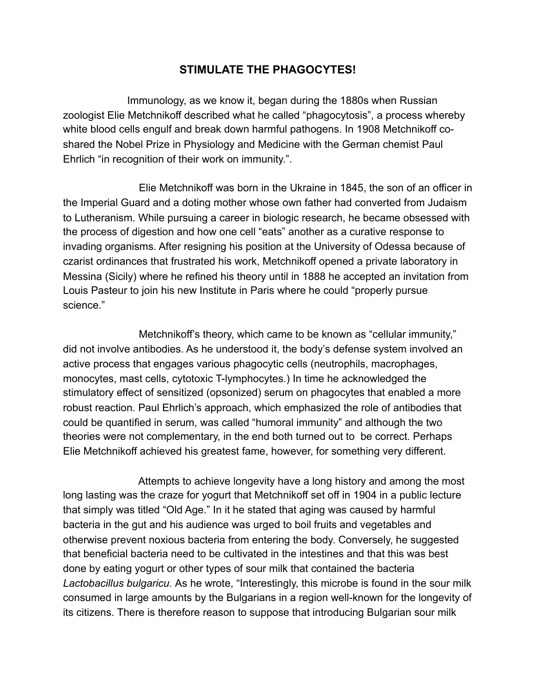## **STIMULATE THE PHAGOCYTES!**

Immunology, as we know it, began during the 1880s when Russian zoologist Elie Metchnikoff described what he called "phagocytosis", a process whereby white blood cells engulf and break down harmful pathogens. In 1908 Metchnikoff coshared the Nobel Prize in Physiology and Medicine with the German chemist Paul Ehrlich "in recognition of their work on immunity.".

Elie Metchnikoff was born in the Ukraine in 1845, the son of an officer in the Imperial Guard and a doting mother whose own father had converted from Judaism to Lutheranism. While pursuing a career in biologic research, he became obsessed with the process of digestion and how one cell "eats" another as a curative response to invading organisms. After resigning his position at the University of Odessa because of czarist ordinances that frustrated his work, Metchnikoff opened a private laboratory in Messina (Sicily) where he refined his theory until in 1888 he accepted an invitation from Louis Pasteur to join his new Institute in Paris where he could "properly pursue science."

 Metchnikoff's theory, which came to be known as "cellular immunity," did not involve antibodies. As he understood it, the body's defense system involved an active process that engages various phagocytic cells (neutrophils, macrophages, monocytes, mast cells, cytotoxic T-lymphocytes.) In time he acknowledged the stimulatory effect of sensitized (opsonized) serum on phagocytes that enabled a more robust reaction. Paul Ehrlich's approach, which emphasized the role of antibodies that could be quantified in serum, was called "humoral immunity" and although the two theories were not complementary, in the end both turned out to be correct. Perhaps Elie Metchnikoff achieved his greatest fame, however, for something very different.

 Attempts to achieve longevity have a long history and among the most long lasting was the craze for yogurt that Metchnikoff set off in 1904 in a public lecture that simply was titled "Old Age." In it he stated that aging was caused by harmful bacteria in the gut and his audience was urged to boil fruits and vegetables and otherwise prevent noxious bacteria from entering the body. Conversely, he suggested that beneficial bacteria need to be cultivated in the intestines and that this was best done by eating yogurt or other types of sour milk that contained the bacteria *Lactobacillus bulgaricu.* As he wrote, "Interestingly, this microbe is found in the sour milk consumed in large amounts by the Bulgarians in a region well-known for the longevity of its citizens. There is therefore reason to suppose that introducing Bulgarian sour milk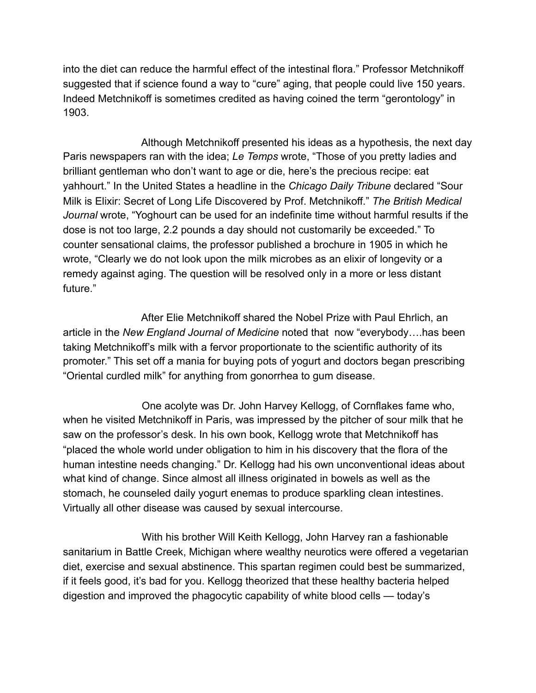into the diet can reduce the harmful effect of the intestinal flora." Professor Metchnikoff suggested that if science found a way to "cure" aging, that people could live 150 years. Indeed Metchnikoff is sometimes credited as having coined the term "gerontology" in 1903.

 Although Metchnikoff presented his ideas as a hypothesis, the next day Paris newspapers ran with the idea; *Le Temps* wrote, "Those of you pretty ladies and brilliant gentleman who don't want to age or die, here's the precious recipe: eat yahhourt." In the United States a headline in the *Chicago Daily Tribune* declared "Sour Milk is Elixir: Secret of Long Life Discovered by Prof. Metchnikoff." *The British Medical Journal* wrote, "Yoghourt can be used for an indefinite time without harmful results if the dose is not too large, 2.2 pounds a day should not customarily be exceeded." To counter sensational claims, the professor published a brochure in 1905 in which he wrote, "Clearly we do not look upon the milk microbes as an elixir of longevity or a remedy against aging. The question will be resolved only in a more or less distant future."

 After Elie Metchnikoff shared the Nobel Prize with Paul Ehrlich, an article in the *New England Journal of Medicine* noted that now "everybody….has been taking Metchnikoff's milk with a fervor proportionate to the scientific authority of its promoter." This set off a mania for buying pots of yogurt and doctors began prescribing "Oriental curdled milk" for anything from gonorrhea to gum disease.

 One acolyte was Dr. John Harvey Kellogg, of Cornflakes fame who, when he visited Metchnikoff in Paris, was impressed by the pitcher of sour milk that he saw on the professor's desk. In his own book, Kellogg wrote that Metchnikoff has "placed the whole world under obligation to him in his discovery that the flora of the human intestine needs changing." Dr. Kellogg had his own unconventional ideas about what kind of change. Since almost all illness originated in bowels as well as the stomach, he counseled daily yogurt enemas to produce sparkling clean intestines. Virtually all other disease was caused by sexual intercourse.

 With his brother Will Keith Kellogg, John Harvey ran a fashionable sanitarium in Battle Creek, Michigan where wealthy neurotics were offered a vegetarian diet, exercise and sexual abstinence. This spartan regimen could best be summarized, if it feels good, it's bad for you. Kellogg theorized that these healthy bacteria helped digestion and improved the phagocytic capability of white blood cells — today's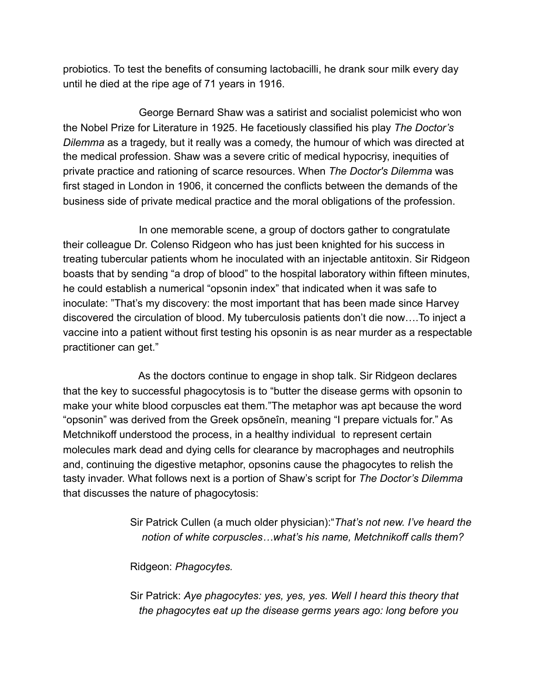probiotics. To test the benefits of consuming lactobacilli, he drank sour milk every day until he died at the ripe age of 71 years in 1916.

 George Bernard Shaw was a satirist and socialist polemicist who won the Nobel Prize for Literature in 1925. He facetiously classified his play *The Doctor's Dilemma* as a tragedy, but it really was a comedy, the humour of which was directed at the medical profession. Shaw was a severe critic of medical hypocrisy, inequities of private practice and rationing of scarce resources. When *The Doctor's Dilemma* was first staged in London in 1906, it concerned the conflicts between the demands of the business side of private medical practice and the moral obligations of the profession.

 In one memorable scene, a group of doctors gather to congratulate their colleague Dr. Colenso Ridgeon who has just been knighted for his success in treating tubercular patients whom he inoculated with an injectable antitoxin. Sir Ridgeon boasts that by sending "a drop of blood" to the hospital laboratory within fifteen minutes, he could establish a numerical "opsonin index" that indicated when it was safe to inoculate: "That's my discovery: the most important that has been made since Harvey discovered the circulation of blood. My tuberculosis patients don't die now….To inject a vaccine into a patient without first testing his opsonin is as near murder as a respectable practitioner can get."

 As the doctors continue to engage in shop talk. Sir Ridgeon declares that the key to successful phagocytosis is to "butter the disease germs with opsonin to make your white blood corpuscles eat them."The metaphor was apt because the word "opsonin" was derived from the Greek opsōneîn, meaning "I prepare victuals for." As Metchnikoff understood the process, in a healthy individual to represent certain molecules mark dead and dying cells for clearance by macrophages and neutrophils and, continuing the digestive metaphor, opsonins cause the phagocytes to relish the tasty invader. What follows next is a portion of Shaw's script for *The Doctor's Dilemma*  that discusses the nature of phagocytosis:

> Sir Patrick Cullen (a much older physician):"*That's not new. I've heard the notion of white corpuscles…what's his name, Metchnikoff calls them?*

Ridgeon: *Phagocytes.*

 Sir Patrick: *Aye phagocytes: yes, yes, yes. Well I heard this theory that the phagocytes eat up the disease germs years ago: long before you*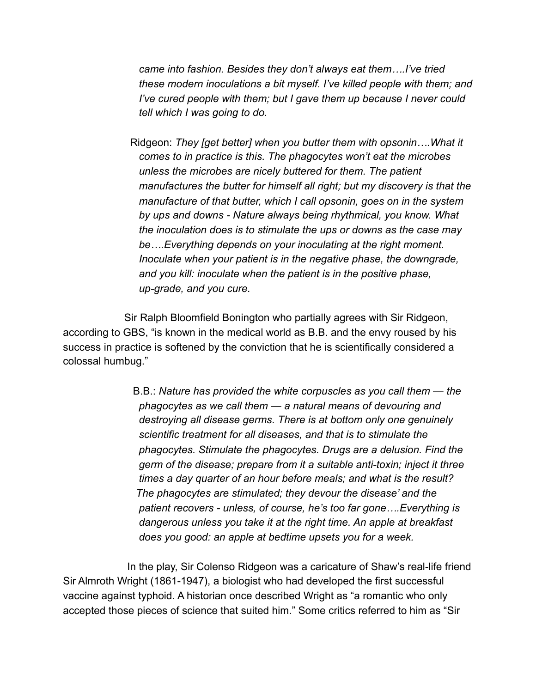*came into fashion. Besides they don't always eat them….I've tried these modern inoculations a bit myself. I've killed people with them; and I've cured people with them; but I gave them up because I never could tell which I was going to do.* 

 Ridgeon: *They [get better] when you butter them with opsonin….What it comes to in practice is this. The phagocytes won't eat the microbes unless the microbes are nicely buttered for them. The patient manufactures the butter for himself all right; but my discovery is that the manufacture of that butter, which I call opsonin, goes on in the system by ups and downs - Nature always being rhythmical, you know. What the inoculation does is to stimulate the ups or downs as the case may be….Everything depends on your inoculating at the right moment. Inoculate when your patient is in the negative phase, the downgrade, and you kill: inoculate when the patient is in the positive phase, up-grade, and you cure.* 

 Sir Ralph Bloomfield Bonington who partially agrees with Sir Ridgeon, according to GBS, "is known in the medical world as B.B. and the envy roused by his success in practice is softened by the conviction that he is scientifically considered a colossal humbug."

> B.B.: *Nature has provided the white corpuscles as you call them — the phagocytes as we call them — a natural means of devouring and destroying all disease germs. There is at bottom only one genuinely scientific treatment for all diseases, and that is to stimulate the phagocytes. Stimulate the phagocytes. Drugs are a delusion. Find the germ of the disease; prepare from it a suitable anti-toxin; inject it three times a day quarter of an hour before meals; and what is the result? The phagocytes are stimulated; they devour the disease' and the patient recovers - unless, of course, he's too far gone….Everything is dangerous unless you take it at the right time. An apple at breakfast does you good: an apple at bedtime upsets you for a week.*

In the play, Sir Colenso Ridgeon was a caricature of Shaw's real-life friend Sir Almroth Wright (1861-1947), a biologist who had developed the first successful vaccine against typhoid. A historian once described Wright as "a romantic who only accepted those pieces of science that suited him." Some critics referred to him as "Sir